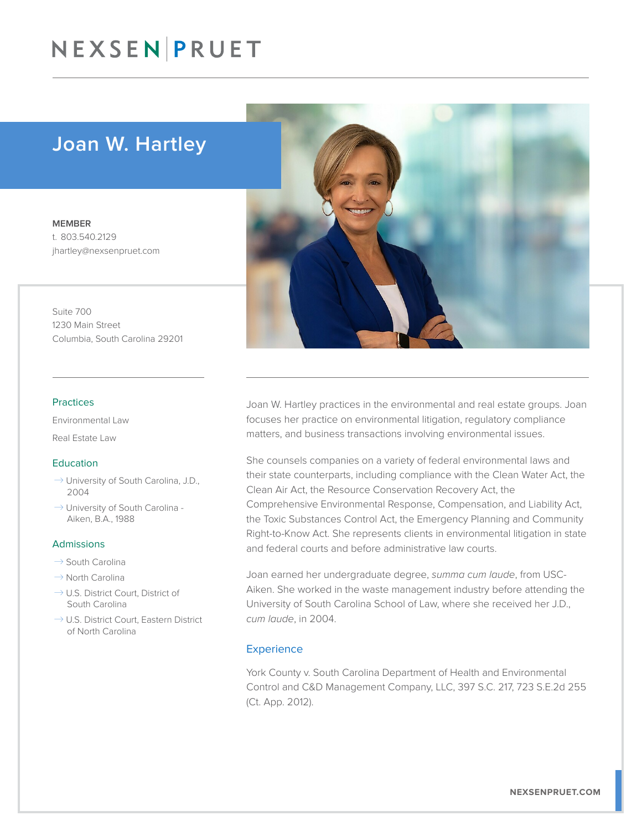# NEXSEN PRUET

## Joan W. Hartley

MEMBER t. 803.540.2129 jhartley@nexsenpruet.com

Suite 700 1230 Main Street Columbia, South Carolina 29201

#### Practices

Environmental Law

Real Estate Law

### Education

- $\rightarrow$  University of South Carolina, J.D., 2004
- $\rightarrow$  University of South Carolina -Aiken, B.A., 1988

#### Admissions

- $\rightarrow$  South Carolina
- $\rightarrow$  North Carolina
- $\rightarrow$  U.S. District Court, District of South Carolina
- $\rightarrow$  U.S. District Court, Eastern District of North Carolina



Joan W. Hartley practices in the environmental and real estate groups. Joan focuses her practice on environmental litigation, regulatory compliance matters, and business transactions involving environmental issues.

She counsels companies on a variety of federal environmental laws and their state counterparts, including compliance with the Clean Water Act, the Clean Air Act, the Resource Conservation Recovery Act, the Comprehensive Environmental Response, Compensation, and Liability Act, the Toxic Substances Control Act, the Emergency Planning and Community Right-to-Know Act. She represents clients in environmental litigation in state and federal courts and before administrative law courts.

Joan earned her undergraduate degree, *summa cum laude*, from USC-Aiken. She worked in the waste management industry before attending the University of South Carolina School of Law, where she received her J.D., *cum laude*, in 2004.

### **Experience**

York County v. South Carolina Department of Health and Environmental Control and C&D Management Company, LLC, 397 S.C. 217, 723 S.E.2d 255 (Ct. App. 2012).